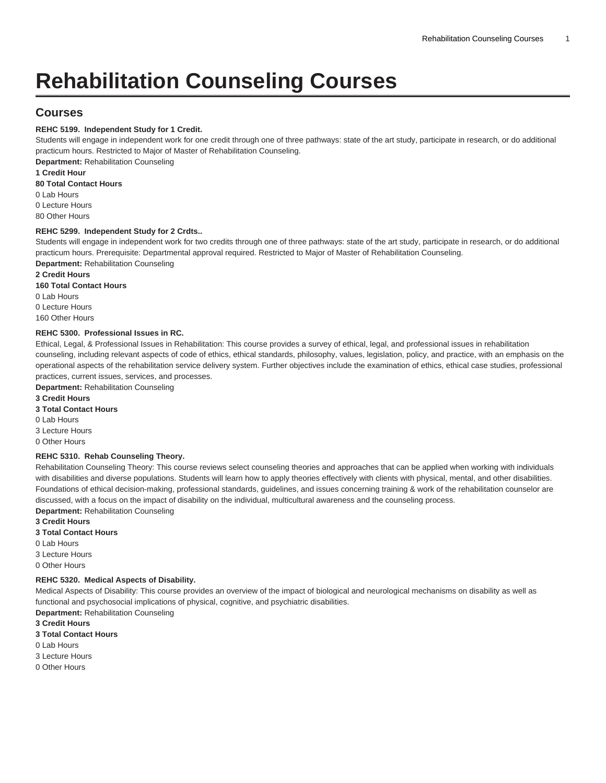# **Rehabilitation Counseling Courses**

# **Courses**

# **REHC 5199. Independent Study for 1 Credit.**

Students will engage in independent work for one credit through one of three pathways: state of the art study, participate in research, or do additional practicum hours. Restricted to Major of Master of Rehabilitation Counseling.

**Department:** Rehabilitation Counseling

# **1 Credit Hour**

**80 Total Contact Hours**

0 Lab Hours 0 Lecture Hours

80 Other Hours

# **REHC 5299. Independent Study for 2 Crdts..**

Students will engage in independent work for two credits through one of three pathways: state of the art study, participate in research, or do additional practicum hours. Prerequisite: Departmental approval required. Restricted to Major of Master of Rehabilitation Counseling. **Department:** Rehabilitation Counseling

**2 Credit Hours**

**160 Total Contact Hours**

0 Lab Hours 0 Lecture Hours 160 Other Hours

# **REHC 5300. Professional Issues in RC.**

Ethical, Legal, & Professional Issues in Rehabilitation: This course provides a survey of ethical, legal, and professional issues in rehabilitation counseling, including relevant aspects of code of ethics, ethical standards, philosophy, values, legislation, policy, and practice, with an emphasis on the operational aspects of the rehabilitation service delivery system. Further objectives include the examination of ethics, ethical case studies, professional practices, current issues, services, and processes.

**Department:** Rehabilitation Counseling

# **3 Credit Hours**

# **3 Total Contact Hours**

0 Lab Hours

3 Lecture Hours

0 Other Hours

#### **REHC 5310. Rehab Counseling Theory.**

Rehabilitation Counseling Theory: This course reviews select counseling theories and approaches that can be applied when working with individuals with disabilities and diverse populations. Students will learn how to apply theories effectively with clients with physical, mental, and other disabilities. Foundations of ethical decision-making, professional standards, guidelines, and issues concerning training & work of the rehabilitation counselor are discussed, with a focus on the impact of disability on the individual, multicultural awareness and the counseling process.

**Department:** Rehabilitation Counseling

**3 Credit Hours**

**3 Total Contact Hours**

0 Lab Hours

3 Lecture Hours

0 Other Hours

# **REHC 5320. Medical Aspects of Disability.**

Medical Aspects of Disability: This course provides an overview of the impact of biological and neurological mechanisms on disability as well as functional and psychosocial implications of physical, cognitive, and psychiatric disabilities.

**Department:** Rehabilitation Counseling

**3 Credit Hours**

- **3 Total Contact Hours**
- 0 Lab Hours
- 3 Lecture Hours
- 0 Other Hours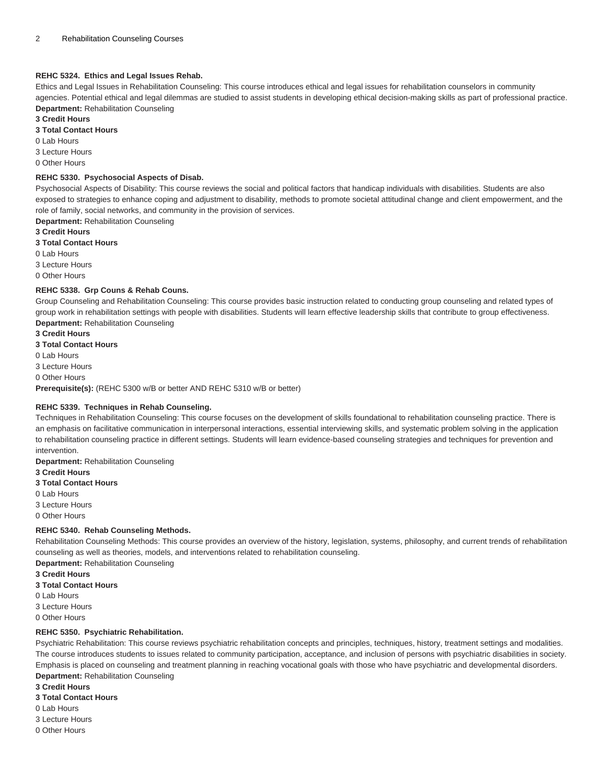#### **REHC 5324. Ethics and Legal Issues Rehab.**

Ethics and Legal Issues in Rehabilitation Counseling: This course introduces ethical and legal issues for rehabilitation counselors in community agencies. Potential ethical and legal dilemmas are studied to assist students in developing ethical decision-making skills as part of professional practice. **Department:** Rehabilitation Counseling

#### **3 Credit Hours**

**3 Total Contact Hours**

0 Lab Hours

3 Lecture Hours

0 Other Hours

#### **REHC 5330. Psychosocial Aspects of Disab.**

Psychosocial Aspects of Disability: This course reviews the social and political factors that handicap individuals with disabilities. Students are also exposed to strategies to enhance coping and adjustment to disability, methods to promote societal attitudinal change and client empowerment, and the role of family, social networks, and community in the provision of services.

**Department:** Rehabilitation Counseling

**3 Credit Hours 3 Total Contact Hours** 0 Lab Hours 3 Lecture Hours 0 Other Hours

#### **REHC 5338. Grp Couns & Rehab Couns.**

Group Counseling and Rehabilitation Counseling: This course provides basic instruction related to conducting group counseling and related types of group work in rehabilitation settings with people with disabilities. Students will learn effective leadership skills that contribute to group effectiveness. **Department:** Rehabilitation Counseling

**3 Credit Hours 3 Total Contact Hours** 0 Lab Hours

3 Lecture Hours

0 Other Hours

**Prerequisite(s):** ([REHC 5300](/search/?P=REHC%205300) w/B or better AND [REHC 5310](/search/?P=REHC%205310) w/B or better)

# **REHC 5339. Techniques in Rehab Counseling.**

Techniques in Rehabilitation Counseling: This course focuses on the development of skills foundational to rehabilitation counseling practice. There is an emphasis on facilitative communication in interpersonal interactions, essential interviewing skills, and systematic problem solving in the application to rehabilitation counseling practice in different settings. Students will learn evidence-based counseling strategies and techniques for prevention and intervention.

**Department:** Rehabilitation Counseling

**3 Credit Hours**

**3 Total Contact Hours**

0 Lab Hours

3 Lecture Hours

0 Other Hours

#### **REHC 5340. Rehab Counseling Methods.**

Rehabilitation Counseling Methods: This course provides an overview of the history, legislation, systems, philosophy, and current trends of rehabilitation counseling as well as theories, models, and interventions related to rehabilitation counseling. **Department:** Rehabilitation Counseling

**3 Credit Hours**

- **3 Total Contact Hours**
- 0 Lab Hours
- 3 Lecture Hours
- 0 Other Hours

#### **REHC 5350. Psychiatric Rehabilitation.**

Psychiatric Rehabilitation: This course reviews psychiatric rehabilitation concepts and principles, techniques, history, treatment settings and modalities. The course introduces students to issues related to community participation, acceptance, and inclusion of persons with psychiatric disabilities in society. Emphasis is placed on counseling and treatment planning in reaching vocational goals with those who have psychiatric and developmental disorders. **Department:** Rehabilitation Counseling

- **3 Credit Hours**
- **3 Total Contact Hours**
- 0 Lab Hours
- 3 Lecture Hours
- 0 Other Hours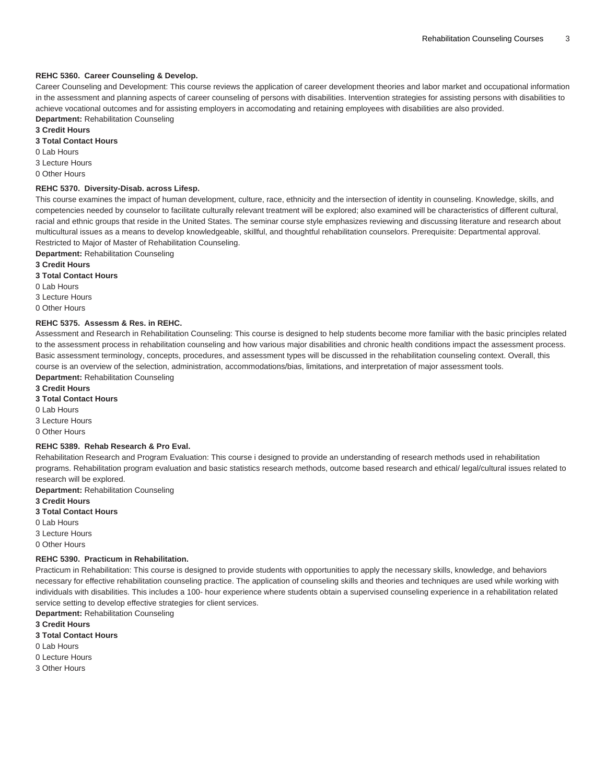### **REHC 5360. Career Counseling & Develop.**

Career Counseling and Development: This course reviews the application of career development theories and labor market and occupational information in the assessment and planning aspects of career counseling of persons with disabilities. Intervention strategies for assisting persons with disabilities to achieve vocational outcomes and for assisting employers in accomodating and retaining employees with disabilities are also provided.

**Department:** Rehabilitation Counseling **3 Credit Hours**

**3 Total Contact Hours**

0 Lab Hours

3 Lecture Hours

0 Other Hours

# **REHC 5370. Diversity-Disab. across Lifesp.**

This course examines the impact of human development, culture, race, ethnicity and the intersection of identity in counseling. Knowledge, skills, and competencies needed by counselor to facilitate culturally relevant treatment will be explored; also examined will be characteristics of different cultural, racial and ethnic groups that reside in the United States. The seminar course style emphasizes reviewing and discussing literature and research about multicultural issues as a means to develop knowledgeable, skillful, and thoughtful rehabilitation counselors. Prerequisite: Departmental approval. Restricted to Major of Master of Rehabilitation Counseling.

**Department:** Rehabilitation Counseling

**3 Credit Hours 3 Total Contact Hours**

0 Lab Hours

3 Lecture Hours

0 Other Hours

# **REHC 5375. Assessm & Res. in REHC.**

Assessment and Research in Rehabilitation Counseling: This course is designed to help students become more familiar with the basic principles related to the assessment process in rehabilitation counseling and how various major disabilities and chronic health conditions impact the assessment process. Basic assessment terminology, concepts, procedures, and assessment types will be discussed in the rehabilitation counseling context. Overall, this course is an overview of the selection, administration, accommodations/bias, limitations, and interpretation of major assessment tools. **Department:** Rehabilitation Counseling

**3 Credit Hours**

**3 Total Contact Hours**

0 Lab Hours

3 Lecture Hours

0 Other Hours

# **REHC 5389. Rehab Research & Pro Eval.**

Rehabilitation Research and Program Evaluation: This course i designed to provide an understanding of research methods used in rehabilitation programs. Rehabilitation program evaluation and basic statistics research methods, outcome based research and ethical/ legal/cultural issues related to research will be explored.

**Department:** Rehabilitation Counseling **3 Credit Hours 3 Total Contact Hours** 0 Lab Hours 3 Lecture Hours

0 Other Hours

# **REHC 5390. Practicum in Rehabilitation.**

Practicum in Rehabilitation: This course is designed to provide students with opportunities to apply the necessary skills, knowledge, and behaviors necessary for effective rehabilitation counseling practice. The application of counseling skills and theories and techniques are used while working with individuals with disabilities. This includes a 100- hour experience where students obtain a supervised counseling experience in a rehabilitation related service setting to develop effective strategies for client services.

**Department:** Rehabilitation Counseling

**3 Credit Hours**

- **3 Total Contact Hours**
- 0 Lab Hours
- 0 Lecture Hours
- 3 Other Hours